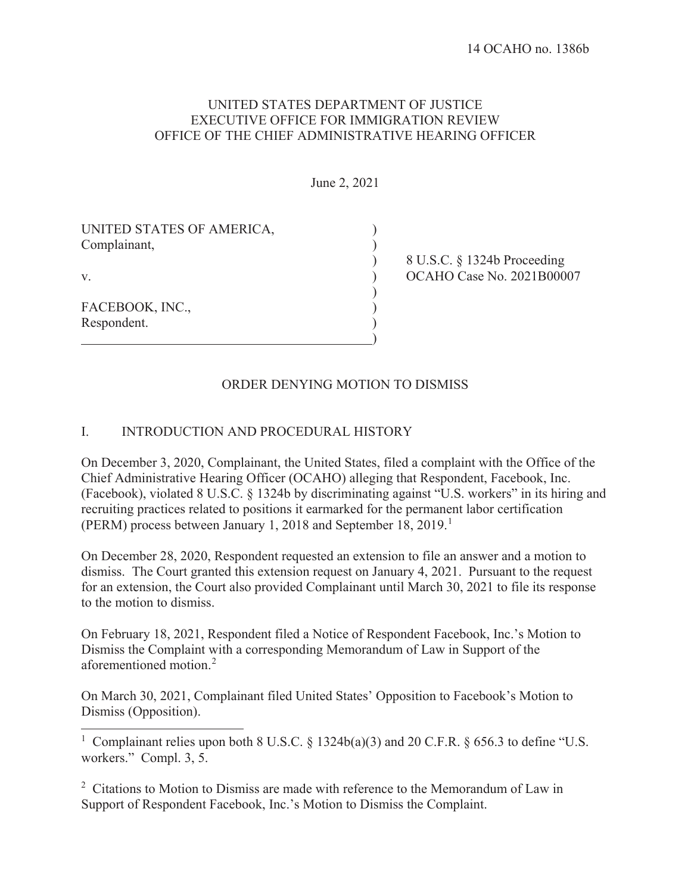#### UNITED STATES DEPARTMENT OF JUSTICE EXECUTIVE OFFICE FOR IMMIGRATION REVIEW OFFICE OF THE CHIEF ADMINISTRATIVE HEARING OFFICER

June 2, 2021

| UNITED STATES OF AMERICA, |  |
|---------------------------|--|
| Complainant,              |  |

FACEBOOK, INC., Respondent.

 ) 8 U.S.C. § 1324b Proceeding v. ) OCAHO Case No. 2021B00007

# ORDER DENYING MOTION TO DISMISS

)

 $\overline{)}$ 

#### I. INTRODUCTION AND PROCEDURAL HISTORY

On December 3, 2020, Complainant, the United States, filed a complaint with the Office of the Chief Administrative Hearing Officer (OCAHO) alleging that Respondent, Facebook, Inc. (Facebook), violated 8 U.S.C. § 1324b by discriminating against "U.S. workers" in its hiring and recruiting practices related to positions it earmarked for the permanent labor certification (PERM) process between January 1, 2018 and September 18, 2019.<sup>1</sup>

On December 28, 2020, Respondent requested an extension to file an answer and a motion to dismiss. The Court granted this extension request on January 4, 2021. Pursuant to the request for an extension, the Court also provided Complainant until March 30, 2021 to file its response to the motion to dismiss.

On February 18, 2021, Respondent filed a Notice of Respondent Facebook, Inc.'s Motion to Dismiss the Complaint with a corresponding Memorandum of Law in Support of the aforementioned motion.<sup>2</sup>

On March 30, 2021, Complainant filed United States' Opposition to Facebook's Motion to Dismiss (Opposition).

<sup>1</sup> Complainant relies upon both 8 U.S.C. § 1324b(a)(3) and 20 C.F.R. § 656.3 to define "U.S. workers." Compl. 3, 5.

<sup>2</sup> Citations to Motion to Dismiss are made with reference to the Memorandum of Law in Support of Respondent Facebook, Inc.'s Motion to Dismiss the Complaint.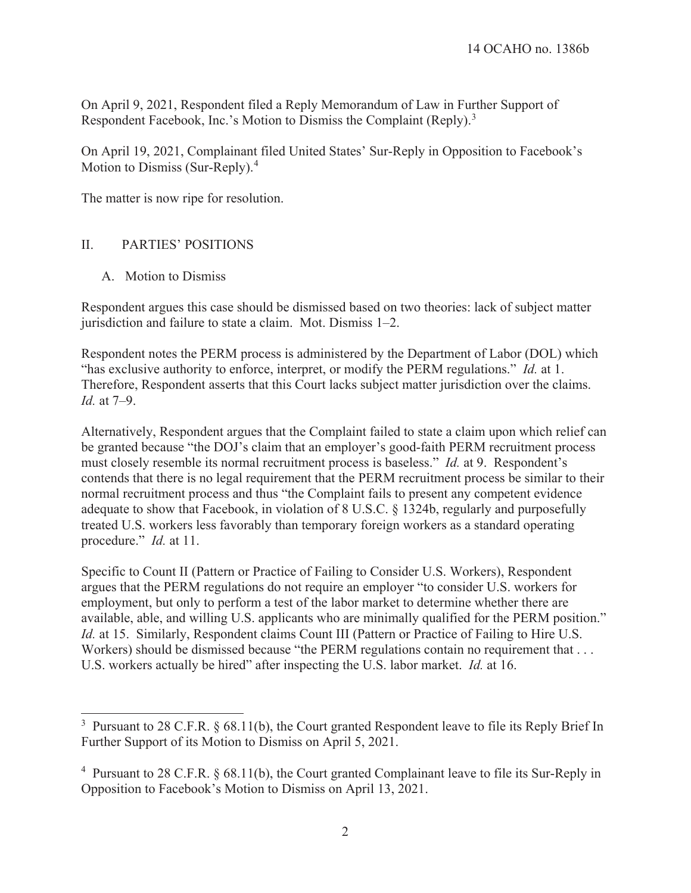On April 9, 2021, Respondent filed a Reply Memorandum of Law in Further Support of Respondent Facebook, Inc.'s Motion to Dismiss the Complaint (Reply).<sup>3</sup>

On April 19, 2021, Complainant filed United States' Sur-Reply in Opposition to Facebook's Motion to Dismiss (Sur-Reply).<sup>4</sup>

The matter is now ripe for resolution.

## II. PARTIES' POSITIONS

A. Motion to Dismiss

 $\overline{a}$ 

Respondent argues this case should be dismissed based on two theories: lack of subject matter jurisdiction and failure to state a claim. Mot. Dismiss 1–2.

Respondent notes the PERM process is administered by the Department of Labor (DOL) which "has exclusive authority to enforce, interpret, or modify the PERM regulations." *Id.* at 1. Therefore, Respondent asserts that this Court lacks subject matter jurisdiction over the claims. *Id.* at 7–9.

Alternatively, Respondent argues that the Complaint failed to state a claim upon which relief can be granted because "the DOJ's claim that an employer's good-faith PERM recruitment process must closely resemble its normal recruitment process is baseless." *Id.* at 9. Respondent's contends that there is no legal requirement that the PERM recruitment process be similar to their normal recruitment process and thus "the Complaint fails to present any competent evidence adequate to show that Facebook, in violation of 8 U.S.C. § 1324b, regularly and purposefully treated U.S. workers less favorably than temporary foreign workers as a standard operating procedure." *Id.* at 11.

Specific to Count II (Pattern or Practice of Failing to Consider U.S. Workers), Respondent argues that the PERM regulations do not require an employer "to consider U.S. workers for employment, but only to perform a test of the labor market to determine whether there are available, able, and willing U.S. applicants who are minimally qualified for the PERM position." *Id.* at 15. Similarly, Respondent claims Count III (Pattern or Practice of Failing to Hire U.S. Workers) should be dismissed because "the PERM regulations contain no requirement that . . . U.S. workers actually be hired" after inspecting the U.S. labor market. *Id.* at 16.

<sup>&</sup>lt;sup>3</sup> Pursuant to 28 C.F.R.  $\S$  68.11(b), the Court granted Respondent leave to file its Reply Brief In Further Support of its Motion to Dismiss on April 5, 2021.

<sup>&</sup>lt;sup>4</sup> Pursuant to 28 C.F.R. § 68.11(b), the Court granted Complainant leave to file its Sur-Reply in Opposition to Facebook's Motion to Dismiss on April 13, 2021.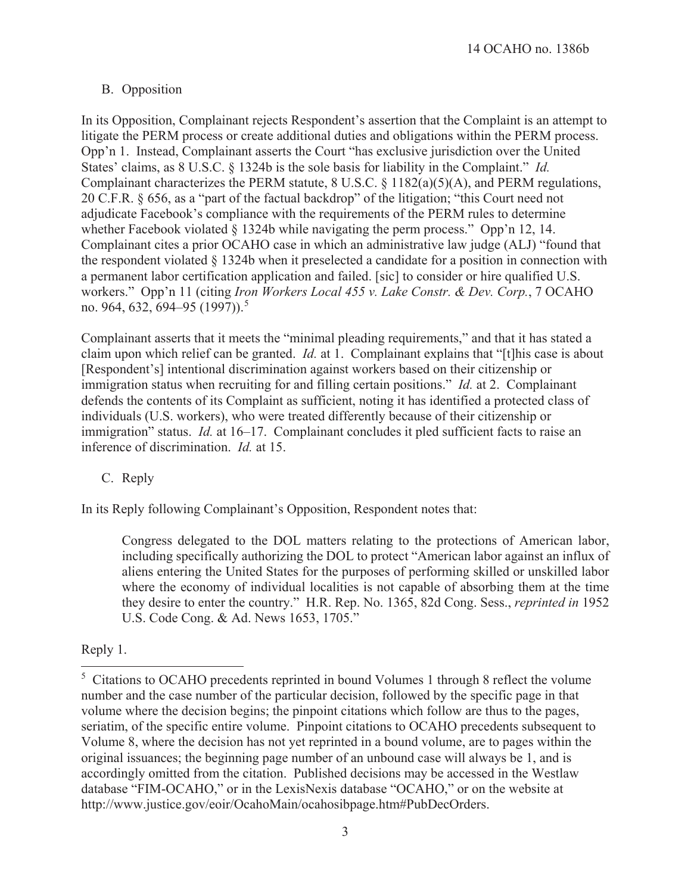## B. Opposition

In its Opposition, Complainant rejects Respondent's assertion that the Complaint is an attempt to litigate the PERM process or create additional duties and obligations within the PERM process. Opp'n 1. Instead, Complainant asserts the Court "has exclusive jurisdiction over the United States' claims, as 8 U.S.C. § 1324b is the sole basis for liability in the Complaint." *Id.* Complainant characterizes the PERM statute, 8 U.S.C. § 1182(a)(5)(A), and PERM regulations, 20 C.F.R. § 656, as a "part of the factual backdrop" of the litigation; "this Court need not adjudicate Facebook's compliance with the requirements of the PERM rules to determine whether Facebook violated § 1324b while navigating the perm process." Opp'n 12, 14. Complainant cites a prior OCAHO case in which an administrative law judge (ALJ) "found that the respondent violated § 1324b when it preselected a candidate for a position in connection with a permanent labor certification application and failed. [sic] to consider or hire qualified U.S. workers." Opp'n 11 (citing *Iron Workers Local 455 v. Lake Constr. & Dev. Corp.*, 7 OCAHO no. 964, 632, 694–95 (1997)).<sup>5</sup>

Complainant asserts that it meets the "minimal pleading requirements," and that it has stated a claim upon which relief can be granted. *Id.* at 1. Complainant explains that "[t]his case is about [Respondent's] intentional discrimination against workers based on their citizenship or immigration status when recruiting for and filling certain positions." *Id.* at 2. Complainant defends the contents of its Complaint as sufficient, noting it has identified a protected class of individuals (U.S. workers), who were treated differently because of their citizenship or immigration" status. *Id.* at 16–17. Complainant concludes it pled sufficient facts to raise an inference of discrimination. *Id.* at 15.

## C. Reply

In its Reply following Complainant's Opposition, Respondent notes that:

Congress delegated to the DOL matters relating to the protections of American labor, including specifically authorizing the DOL to protect "American labor against an influx of aliens entering the United States for the purposes of performing skilled or unskilled labor where the economy of individual localities is not capable of absorbing them at the time they desire to enter the country."H.R. Rep. No. 1365, 82d Cong. Sess., *reprinted in* 1952 U.S. Code Cong. & Ad. News 1653, 1705."

## Reply 1.

 $\overline{a}$ 

<sup>&</sup>lt;sup>5</sup> Citations to OCAHO precedents reprinted in bound Volumes 1 through 8 reflect the volume number and the case number of the particular decision, followed by the specific page in that volume where the decision begins; the pinpoint citations which follow are thus to the pages, seriatim, of the specific entire volume. Pinpoint citations to OCAHO precedents subsequent to Volume 8, where the decision has not yet reprinted in a bound volume, are to pages within the original issuances; the beginning page number of an unbound case will always be 1, and is accordingly omitted from the citation. Published decisions may be accessed in the Westlaw database "FIM-OCAHO," or in the LexisNexis database "OCAHO," or on the website at http://www.justice.gov/eoir/OcahoMain/ocahosibpage.htm#PubDecOrders.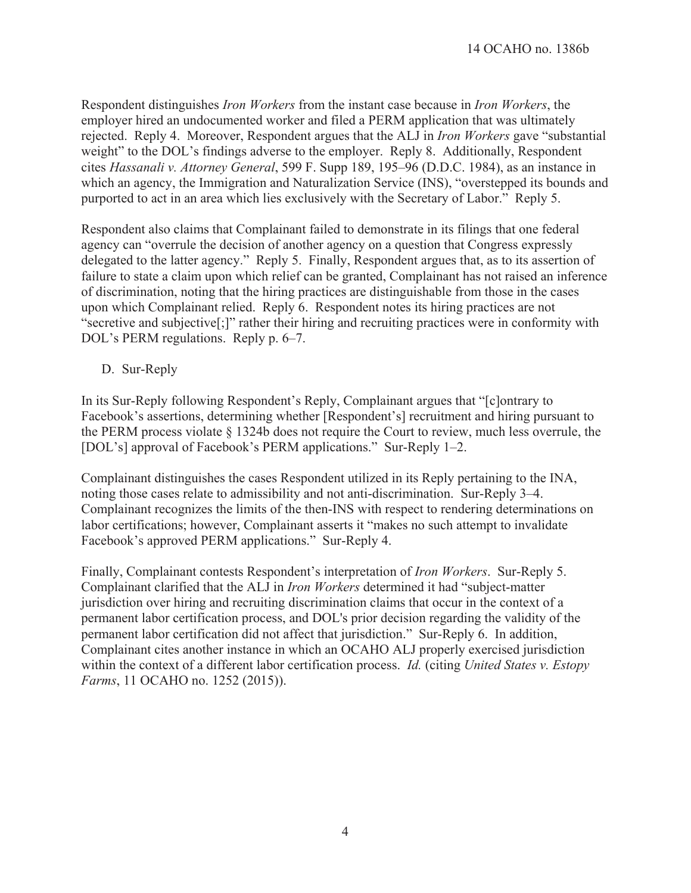Respondent distinguishes *Iron Workers* from the instant case because in *Iron Workers*, the employer hired an undocumented worker and filed a PERM application that was ultimately rejected. Reply 4. Moreover, Respondent argues that the ALJ in *Iron Workers* gave "substantial weight" to the DOL's findings adverse to the employer. Reply 8. Additionally, Respondent cites *Hassanali v. Attorney General*, 599 F. Supp 189, 195–96 (D.D.C. 1984), as an instance in which an agency, the Immigration and Naturalization Service (INS), "overstepped its bounds and purported to act in an area which lies exclusively with the Secretary of Labor." Reply 5.

Respondent also claims that Complainant failed to demonstrate in its filings that one federal agency can "overrule the decision of another agency on a question that Congress expressly delegated to the latter agency." Reply 5. Finally, Respondent argues that, as to its assertion of failure to state a claim upon which relief can be granted, Complainant has not raised an inference of discrimination, noting that the hiring practices are distinguishable from those in the cases upon which Complainant relied. Reply 6. Respondent notes its hiring practices are not "secretive and subjective[;]" rather their hiring and recruiting practices were in conformity with DOL's PERM regulations. Reply p. 6–7.

D. Sur-Reply

In its Sur-Reply following Respondent's Reply, Complainant argues that "[c]ontrary to Facebook's assertions, determining whether [Respondent's] recruitment and hiring pursuant to the PERM process violate § 1324b does not require the Court to review, much less overrule, the [DOL's] approval of Facebook's PERM applications." Sur-Reply 1–2.

Complainant distinguishes the cases Respondent utilized in its Reply pertaining to the INA, noting those cases relate to admissibility and not anti-discrimination. Sur-Reply 3–4. Complainant recognizes the limits of the then-INS with respect to rendering determinations on labor certifications; however, Complainant asserts it "makes no such attempt to invalidate Facebook's approved PERM applications." Sur-Reply 4.

Finally, Complainant contests Respondent's interpretation of *Iron Workers*. Sur-Reply 5. Complainant clarified that the ALJ in *Iron Workers* determined it had "subject-matter jurisdiction over hiring and recruiting discrimination claims that occur in the context of a permanent labor certification process, and DOL's prior decision regarding the validity of the permanent labor certification did not affect that jurisdiction." Sur-Reply 6. In addition, Complainant cites another instance in which an OCAHO ALJ properly exercised jurisdiction within the context of a different labor certification process. *Id.* (citing *United States v. Estopy Farms*, 11 OCAHO no. 1252 (2015)).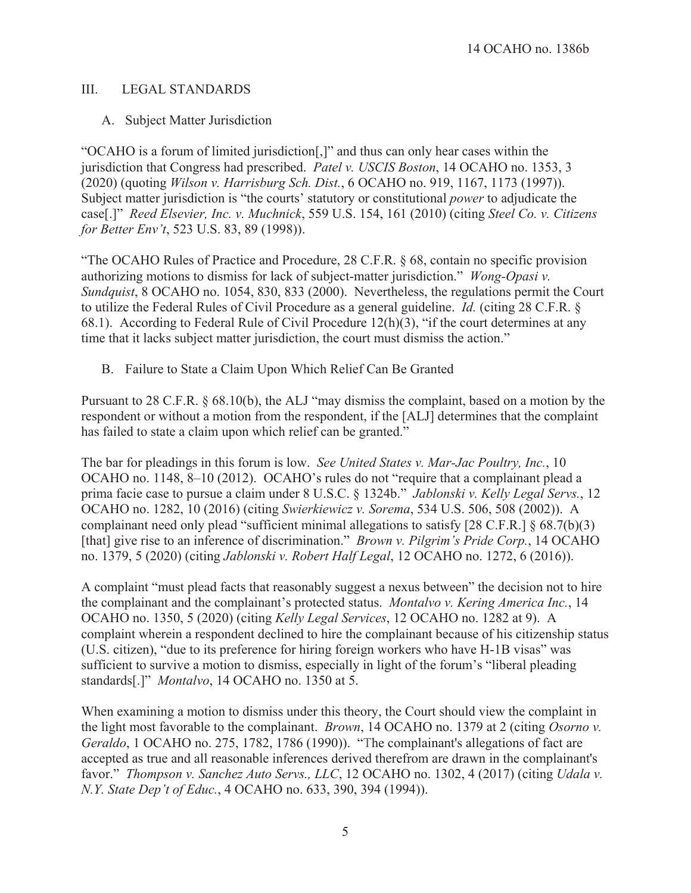#### III. LEGAL STANDARDS

#### A. Subject Matter Jurisdiction

"OCAHO is a forum of limited jurisdiction[,]" and thus can only hear cases within the jurisdiction that Congress had prescribed. *Patel v. USCIS Boston*, 14 OCAHO no. 1353, 3 (2020) (quoting *Wilson v. Harrisburg Sch. Dist.*, 6 OCAHO no. 919, 1167, 1173 (1997)). Subject matter jurisdiction is "the courts' statutory or constitutional *power* to adjudicate the case[.]" *Reed Elsevier, Inc. v. Muchnick*, 559 U.S. 154, 161 (2010) (citing *Steel Co. v. Citizens for Better Env't*, 523 U.S. 83, 89 (1998)).

"The OCAHO Rules of Practice and Procedure, 28 C.F.R. § 68, contain no specific provision authorizing motions to dismiss for lack of subject-matter jurisdiction." *Wong-Opasi v. Sundquist*, 8 OCAHO no. 1054, 830, 833 (2000). Nevertheless, the regulations permit the Court to utilize the Federal Rules of Civil Procedure as a general guideline. *Id.* (citing 28 C.F.R. § 68.1). According to Federal Rule of Civil Procedure 12(h)(3), "if the court determines at any time that it lacks subject matter jurisdiction, the court must dismiss the action."

B. Failure to State a Claim Upon Which Relief Can Be Granted

Pursuant to 28 C.F.R. § 68.10(b), the ALJ "may dismiss the complaint, based on a motion by the respondent or without a motion from the respondent, if the [ALJ] determines that the complaint has failed to state a claim upon which relief can be granted."

The bar for pleadings in this forum is low. *See United States v. Mar-Jac Poultry, Inc.*, 10 OCAHO no. 1148, 8–10 (2012). OCAHO's rules do not "require that a complainant plead a prima facie case to pursue a claim under 8 U.S.C. § 1324b." *Jablonski v. Kelly Legal Servs.*, 12 OCAHO no. 1282, 10 (2016) (citing *Swierkiewicz v. Sorema*, 534 U.S. 506, 508 (2002)). A complainant need only plead "sufficient minimal allegations to satisfy [28 C.F.R.] § 68.7(b)(3) [that] give rise to an inference of discrimination." *Brown v. Pilgrim's Pride Corp.*, 14 OCAHO no. 1379, 5 (2020) (citing *Jablonski v. Robert Half Legal*, 12 OCAHO no. 1272, 6 (2016)).

A complaint "must plead facts that reasonably suggest a nexus between" the decision not to hire the complainant and the complainant's protected status. *Montalvo v. Kering America Inc.*, 14 OCAHO no. 1350, 5 (2020) (citing *Kelly Legal Services*, 12 OCAHO no. 1282 at 9). A complaint wherein a respondent declined to hire the complainant because of his citizenship status (U.S. citizen), "due to its preference for hiring foreign workers who have H-1B visas" was sufficient to survive a motion to dismiss, especially in light of the forum's "liberal pleading standards[.]" *Montalvo*, 14 OCAHO no. 1350 at 5.

When examining a motion to dismiss under this theory, the Court should view the complaint in the light most favorable to the complainant. *Brown*, 14 OCAHO no. 1379 at 2 (citing *Osorno v. Geraldo*, 1 OCAHO no. 275, 1782, 1786 (1990)). "The complainant's allegations of fact are accepted as true and all reasonable inferences derived therefrom are drawn in the complainant's favor." *Thompson v. Sanchez Auto Servs., LLC*, 12 OCAHO no. 1302, 4 (2017) (citing *Udala v. N.Y. State Dep't of Educ.*, 4 OCAHO no. 633, 390, 394 (1994)).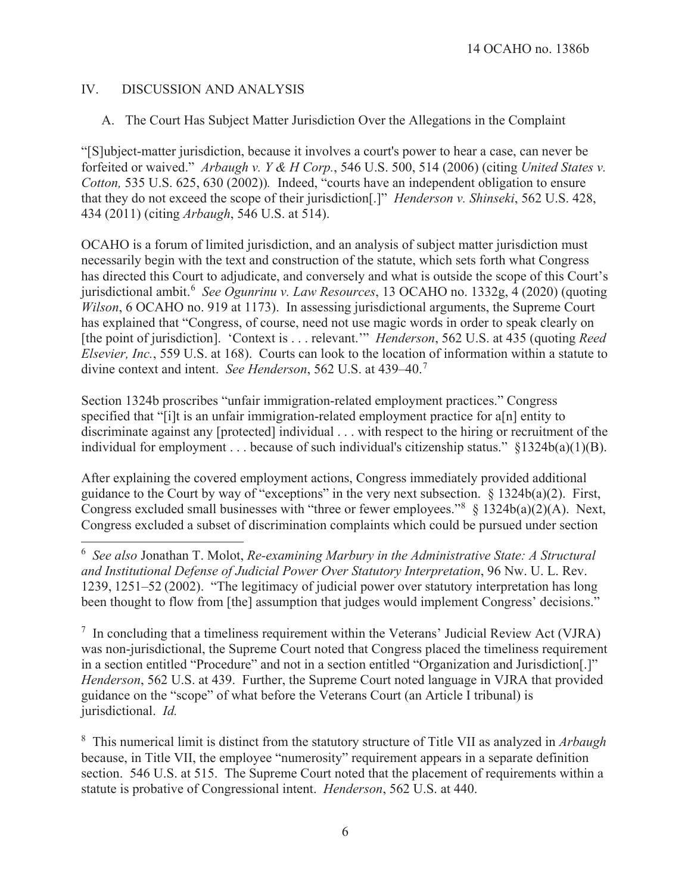## IV. DISCUSSION AND ANALYSIS

## A. The Court Has Subject Matter Jurisdiction Over the Allegations in the Complaint

"[S]ubject-matter jurisdiction, because it involves a court's power to hear a case, can never be forfeited or waived." *Arbaugh v. Y & H Corp.*, 546 U.S. 500, 514 (2006) (citing *United States v. Cotton,* 535 U.S. 625, 630 (2002))*.* Indeed, "courts have an independent obligation to ensure that they do not exceed the scope of their jurisdiction[.]" *Henderson v. Shinseki*, 562 U.S. 428, 434 (2011) (citing *Arbaugh*, 546 U.S. at 514).

OCAHO is a forum of limited jurisdiction, and an analysis of subject matter jurisdiction must necessarily begin with the text and construction of the statute, which sets forth what Congress has directed this Court to adjudicate, and conversely and what is outside the scope of this Court's jurisdictional ambit.<sup>6</sup> *See Ogunrinu v. Law Resources*, 13 OCAHO no. 1332g, 4 (2020) (quoting *Wilson*, 6 OCAHO no. 919 at 1173). In assessing jurisdictional arguments, the Supreme Court has explained that "Congress, of course, need not use magic words in order to speak clearly on [the point of jurisdiction]. 'Context is . . . relevant.'" *Henderson*, 562 U.S. at 435 (quoting *Reed Elsevier, Inc.*, 559 U.S. at 168). Courts can look to the location of information within a statute to divine context and intent. *See Henderson*, 562 U.S. at 439–40.<sup>7</sup>

Section 1324b proscribes "unfair immigration-related employment practices." Congress specified that "[i]t is an unfair immigration-related employment practice for a[n] entity to discriminate against any [protected] individual . . . with respect to the hiring or recruitment of the individual for employment . . . because of such individual's citizenship status." §1324b(a)(1)(B).

After explaining the covered employment actions, Congress immediately provided additional guidance to the Court by way of "exceptions" in the very next subsection. § 1324b(a)(2). First, Congress excluded small businesses with "three or fewer employees."  $§ 1324b(a)(2)(A)$ . Next, Congress excluded a subset of discrimination complaints which could be pursued under section

 $\overline{a}$ 6 *See also* Jonathan T. Molot, *Re-examining Marbury in the Administrative State: A Structural and Institutional Defense of Judicial Power Over Statutory Interpretation*, 96 Nw. U. L. Rev. 1239, 1251–52 (2002)."The legitimacy of judicial power over statutory interpretation has long been thought to flow from [the] assumption that judges would implement Congress' decisions."

 $7$  In concluding that a timeliness requirement within the Veterans' Judicial Review Act (VJRA) was non-jurisdictional, the Supreme Court noted that Congress placed the timeliness requirement in a section entitled "Procedure" and not in a section entitled "Organization and Jurisdiction[.]" *Henderson*, 562 U.S. at 439. Further, the Supreme Court noted language in VJRA that provided guidance on the "scope" of what before the Veterans Court (an Article I tribunal) is jurisdictional. *Id.* 

8 This numerical limit is distinct from the statutory structure of Title VII as analyzed in *Arbaugh* because, in Title VII, the employee "numerosity" requirement appears in a separate definition section. 546 U.S. at 515. The Supreme Court noted that the placement of requirements within a statute is probative of Congressional intent. *Henderson*, 562 U.S. at 440.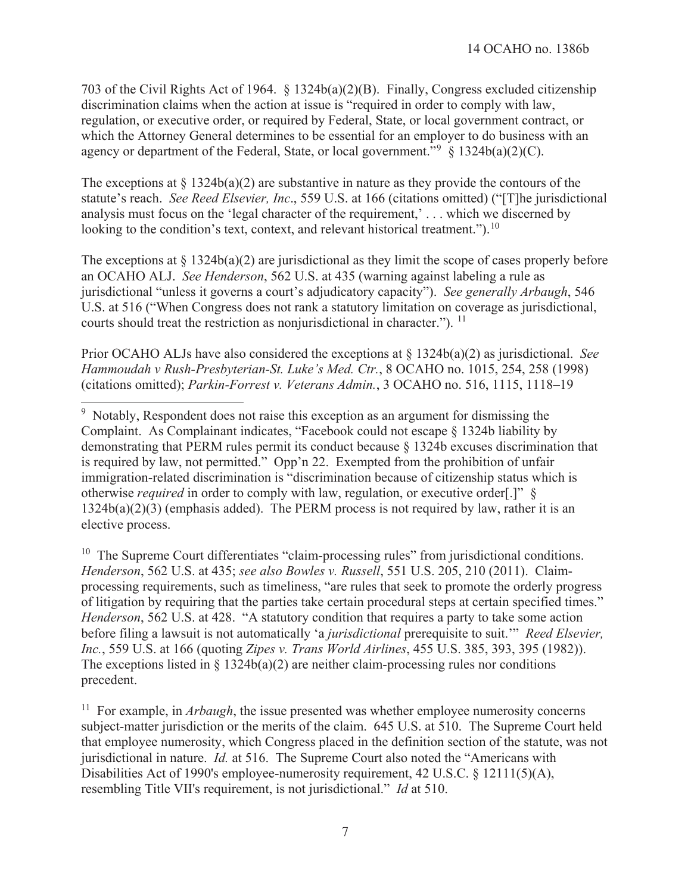703 of the Civil Rights Act of 1964. § 1324b(a)(2)(B). Finally, Congress excluded citizenship discrimination claims when the action at issue is "required in order to comply with law, regulation, or executive order, or required by Federal, State, or local government contract, or which the Attorney General determines to be essential for an employer to do business with an agency or department of the Federal, State, or local government."<sup>9</sup>  $\S 1324b(a)(2)(C)$ .

The exceptions at  $\S 1324b(a)(2)$  are substantive in nature as they provide the contours of the statute's reach. *See Reed Elsevier, Inc*., 559 U.S. at 166 (citations omitted) ("[T]he jurisdictional analysis must focus on the 'legal character of the requirement,' . . . which we discerned by looking to the condition's text, context, and relevant historical treatment.").<sup>10</sup>

The exceptions at  $\S 1324b(a)(2)$  are jurisdictional as they limit the scope of cases properly before an OCAHO ALJ. *See Henderson*, 562 U.S. at 435 (warning against labeling a rule as jurisdictional "unless it governs a court's adjudicatory capacity"). *See generally Arbaugh*, 546 U.S. at 516 ("When Congress does not rank a statutory limitation on coverage as jurisdictional, courts should treat the restriction as nonjurisdictional in character."). <sup>11</sup>

Prior OCAHO ALJs have also considered the exceptions at § 1324b(a)(2) as jurisdictional. *See Hammoudah v Rush-Presbyterian-St. Luke's Med. Ctr.*, 8 OCAHO no. 1015, 254, 258 (1998) (citations omitted); *Parkin-Forrest v. Veterans Admin.*, 3 OCAHO no. 516, 1115, 1118–19

 $\overline{a}$ 

 $10$  The Supreme Court differentiates "claim-processing rules" from jurisdictional conditions. *Henderson*, 562 U.S. at 435; *see also Bowles v. Russell*, 551 U.S. 205, 210 (2011). Claimprocessing requirements, such as timeliness, "are rules that seek to promote the orderly progress of litigation by requiring that the parties take certain procedural steps at certain specified times." *Henderson*, 562 U.S. at 428. "A statutory condition that requires a party to take some action before filing a lawsuit is not automatically 'a *jurisdictional* prerequisite to suit.'" *Reed Elsevier, Inc.*, 559 U.S. at 166 (quoting *Zipes v. Trans World Airlines*, 455 U.S. 385, 393, 395 (1982)). The exceptions listed in  $\S$  1324b(a)(2) are neither claim-processing rules nor conditions precedent.

<sup>11</sup> For example, in *Arbaugh*, the issue presented was whether employee numerosity concerns subject-matter jurisdiction or the merits of the claim. 645 U.S. at 510. The Supreme Court held that employee numerosity, which Congress placed in the definition section of the statute, was not jurisdictional in nature. *Id.* at 516. The Supreme Court also noted the "Americans with Disabilities Act of 1990's employee-numerosity requirement, 42 U.S.C. § 12111(5)(A), resembling Title VII's requirement, is not jurisdictional." *Id* at 510.

<sup>&</sup>lt;sup>9</sup> Notably, Respondent does not raise this exception as an argument for dismissing the Complaint. As Complainant indicates, "Facebook could not escape § 1324b liability by demonstrating that PERM rules permit its conduct because § 1324b excuses discrimination that is required by law, not permitted." Opp'n 22. Exempted from the prohibition of unfair immigration-related discrimination is "discrimination because of citizenship status which is otherwise *required* in order to comply with law, regulation, or executive order[.]" § 1324b(a)(2)(3) (emphasis added). The PERM process is not required by law, rather it is an elective process.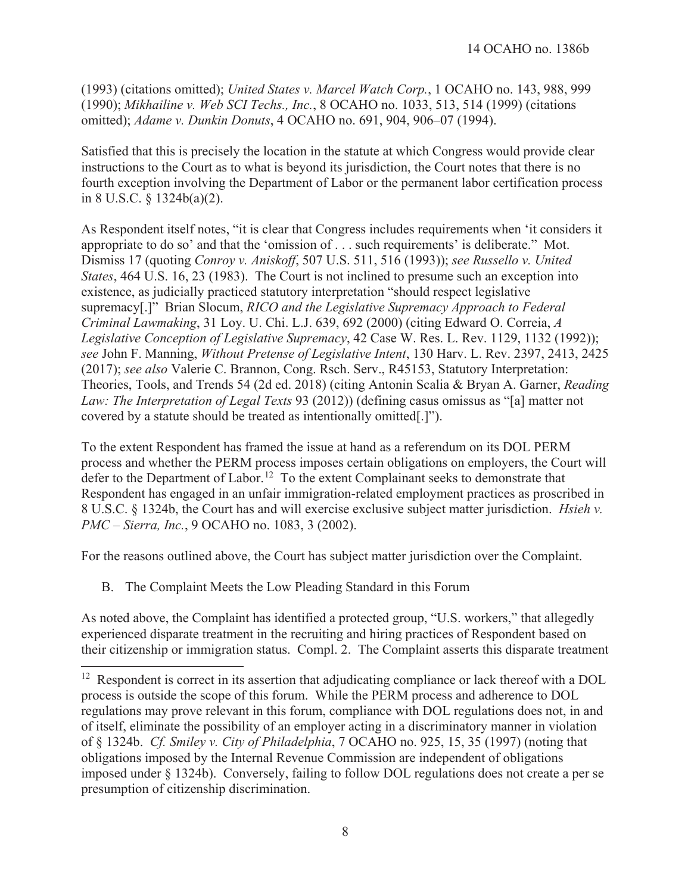(1993) (citations omitted); *United States v. Marcel Watch Corp.*, 1 OCAHO no. 143, 988, 999 (1990); *Mikhailine v. Web SCI Techs., Inc.*, 8 OCAHO no. 1033, 513, 514 (1999) (citations omitted); *Adame v. Dunkin Donuts*, 4 OCAHO no. 691, 904, 906–07 (1994).

Satisfied that this is precisely the location in the statute at which Congress would provide clear instructions to the Court as to what is beyond its jurisdiction, the Court notes that there is no fourth exception involving the Department of Labor or the permanent labor certification process in 8 U.S.C. § 1324b(a)(2).

As Respondent itself notes, "it is clear that Congress includes requirements when 'it considers it appropriate to do so' and that the 'omission of . . . such requirements' is deliberate." Mot. Dismiss 17 (quoting *Conroy v. Aniskoff*, 507 U.S. 511, 516 (1993)); *see Russello v. United States*, 464 U.S. 16, 23 (1983). The Court is not inclined to presume such an exception into existence, as judicially practiced statutory interpretation "should respect legislative supremacy[.]" Brian Slocum, *RICO and the Legislative Supremacy Approach to Federal Criminal Lawmaking*, 31 Loy. U. Chi. L.J. 639, 692 (2000) (citing Edward O. Correia, *A Legislative Conception of Legislative Supremacy*, 42 Case W. Res. L. Rev. 1129, 1132 (1992)); *see* John F. Manning, *Without Pretense of Legislative Intent*, 130 Harv. L. Rev. 2397, 2413, 2425 (2017); *see also* Valerie C. Brannon, Cong. Rsch. Serv., R45153, Statutory Interpretation: Theories, Tools, and Trends 54 (2d ed. 2018) (citing Antonin Scalia & Bryan A. Garner, *Reading Law: The Interpretation of Legal Texts* 93 (2012)) (defining casus omissus as "[a] matter not covered by a statute should be treated as intentionally omitted[.]").

To the extent Respondent has framed the issue at hand as a referendum on its DOL PERM process and whether the PERM process imposes certain obligations on employers, the Court will defer to the Department of Labor.<sup>12</sup> To the extent Complainant seeks to demonstrate that Respondent has engaged in an unfair immigration-related employment practices as proscribed in 8 U.S.C. § 1324b, the Court has and will exercise exclusive subject matter jurisdiction. *Hsieh v. PMC – Sierra, Inc.*, 9 OCAHO no. 1083, 3 (2002).

For the reasons outlined above, the Court has subject matter jurisdiction over the Complaint.

B. The Complaint Meets the Low Pleading Standard in this Forum

 $\overline{a}$ 

As noted above, the Complaint has identified a protected group, "U.S. workers," that allegedly experienced disparate treatment in the recruiting and hiring practices of Respondent based on their citizenship or immigration status. Compl. 2. The Complaint asserts this disparate treatment

<sup>&</sup>lt;sup>12</sup> Respondent is correct in its assertion that adjudicating compliance or lack thereof with a DOL process is outside the scope of this forum. While the PERM process and adherence to DOL regulations may prove relevant in this forum, compliance with DOL regulations does not, in and of itself, eliminate the possibility of an employer acting in a discriminatory manner in violation of § 1324b. *Cf. Smiley v. City of Philadelphia*, 7 OCAHO no. 925, 15, 35 (1997) (noting that obligations imposed by the Internal Revenue Commission are independent of obligations imposed under § 1324b). Conversely, failing to follow DOL regulations does not create a per se presumption of citizenship discrimination.